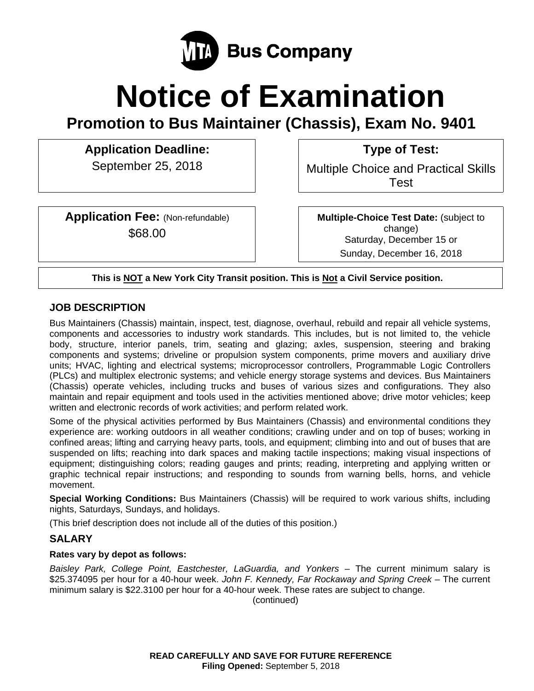

# **Notice of Examination**

**Promotion to Bus Maintainer (Chassis), Exam No. 9401** 

**Application Deadline: Type of Test:** 

**Application Fee:** (Non-refundable) \$68.00

September 25, 2018 **Multiple Choice and Practical Skills** Test

> **Multiple-Choice Test Date:** (subject to change) Saturday, December 15 or Sunday, December 16, 2018

**This is NOT a New York City Transit position. This is Not a Civil Service position.** 

# **JOB DESCRIPTION**

Bus Maintainers (Chassis) maintain, inspect, test, diagnose, overhaul, rebuild and repair all vehicle systems, components and accessories to industry work standards. This includes, but is not limited to, the vehicle body, structure, interior panels, trim, seating and glazing; axles, suspension, steering and braking components and systems; driveline or propulsion system components, prime movers and auxiliary drive units; HVAC, lighting and electrical systems; microprocessor controllers, Programmable Logic Controllers (PLCs) and multiplex electronic systems; and vehicle energy storage systems and devices. Bus Maintainers (Chassis) operate vehicles, including trucks and buses of various sizes and configurations. They also maintain and repair equipment and tools used in the activities mentioned above; drive motor vehicles; keep written and electronic records of work activities; and perform related work.

Some of the physical activities performed by Bus Maintainers (Chassis) and environmental conditions they experience are: working outdoors in all weather conditions; crawling under and on top of buses; working in confined areas; lifting and carrying heavy parts, tools, and equipment; climbing into and out of buses that are suspended on lifts; reaching into dark spaces and making tactile inspections; making visual inspections of equipment; distinguishing colors; reading gauges and prints; reading, interpreting and applying written or graphic technical repair instructions; and responding to sounds from warning bells, horns, and vehicle movement.

**Special Working Conditions:** Bus Maintainers (Chassis) will be required to work various shifts, including nights, Saturdays, Sundays, and holidays.

(This brief description does not include all of the duties of this position.)

# **SALARY**

## **Rates vary by depot as follows:**

*Baisley Park, College Point, Eastchester, LaGuardia, and Yonkers* – The current minimum salary is \$25.374095 per hour for a 40-hour week. *John F. Kennedy, Far Rockaway and Spring Creek* – The current minimum salary is \$22.3100 per hour for a 40-hour week. These rates are subject to change.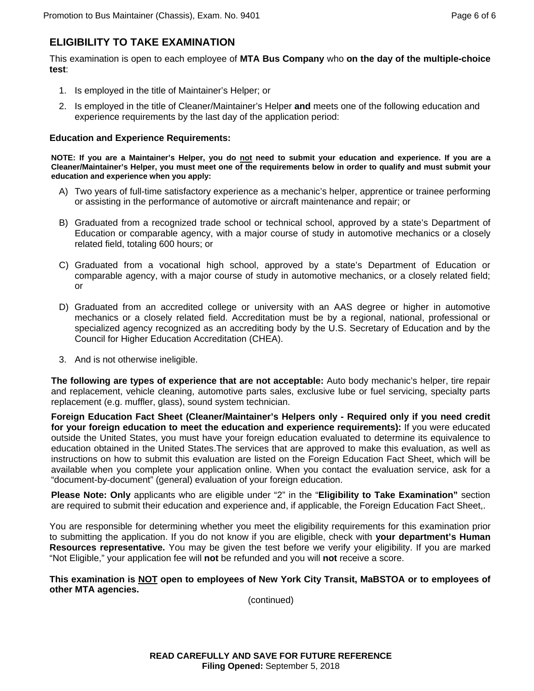# **ELIGIBILITY TO TAKE EXAMINATION**

This examination is open to each employee of **MTA Bus Company** who **on the day of the multiple-choice test**:

- 1. Is employed in the title of Maintainer's Helper; or
- 2. Is employed in the title of Cleaner/Maintainer's Helper **and** meets one of the following education and experience requirements by the last day of the application period:

#### **Education and Experience Requirements:**

NOTE: If you are a Maintainer's Helper, you do not need to submit your education and experience. If you are a **Cleaner/Maintainer's Helper, you must meet one of the requirements below in order to qualify and must submit your education and experience when you apply:** 

- A) Two years of full-time satisfactory experience as a mechanic's helper, apprentice or trainee performing or assisting in the performance of automotive or aircraft maintenance and repair; or
- B) Graduated from a recognized trade school or technical school, approved by a state's Department of Education or comparable agency, with a major course of study in automotive mechanics or a closely related field, totaling 600 hours; or
- C) Graduated from a vocational high school, approved by a state's Department of Education or comparable agency, with a major course of study in automotive mechanics, or a closely related field; or
- D) Graduated from an accredited college or university with an AAS degree or higher in automotive mechanics or a closely related field. Accreditation must be by a regional, national, professional or specialized agency recognized as an accrediting body by the U.S. Secretary of Education and by the Council for Higher Education Accreditation (CHEA).
- 3. And is not otherwise ineligible.

**The following are types of experience that are not acceptable:** Auto body mechanic's helper, tire repair and replacement, vehicle cleaning, automotive parts sales, exclusive lube or fuel servicing, specialty parts replacement (e.g. muffler, glass), sound system technician.

**Foreign Education Fact Sheet (Cleaner/Maintainer's Helpers only - Required only if you need credit for your foreign education to meet the education and experience requirements):** If you were educated outside the United States, you must have your foreign education evaluated to determine its equivalence to education obtained in the United States.The services that are approved to make this evaluation, as well as instructions on how to submit this evaluation are listed on the Foreign Education Fact Sheet, which will be available when you complete your application online. When you contact the evaluation service, ask for a "document-by-document" (general) evaluation of your foreign education.

**Please Note: Only** applicants who are eligible under "2" in the "**Eligibility to Take Examination"** section are required to submit their education and experience and, if applicable, the Foreign Education Fact Sheet,.

You are responsible for determining whether you meet the eligibility requirements for this examination prior to submitting the application. If you do not know if you are eligible, check with **your department's Human Resources representative.** You may be given the test before we verify your eligibility. If you are marked "Not Eligible," your application fee will **not** be refunded and you will **not** receive a score.

#### **This examination is NOT open to employees of New York City Transit, MaBSTOA or to employees of other MTA agencies.**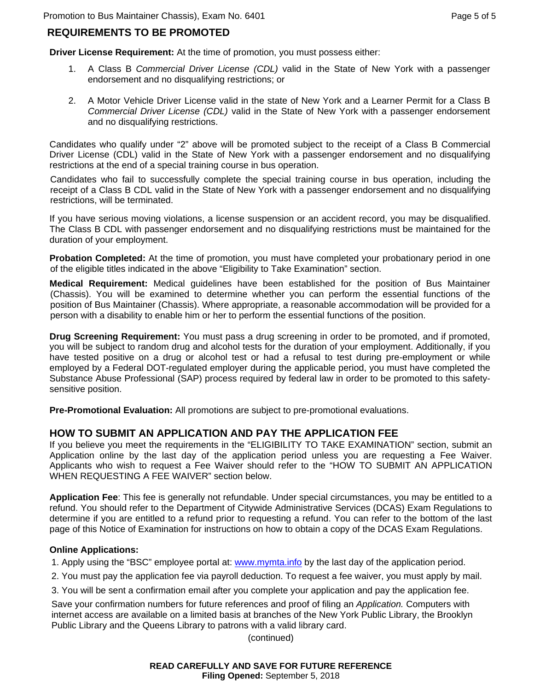# **REQUIREMENTS TO BE PROMOTED**

**Driver License Requirement:** At the time of promotion, you must possess either:

- 1. A Class B *Commercial Driver License (CDL)* valid in the State of New York with a passenger endorsement and no disqualifying restrictions; or
- 2. A Motor Vehicle Driver License valid in the state of New York and a Learner Permit for a Class B *Commercial Driver License (CDL)* valid in the State of New York with a passenger endorsement and no disqualifying restrictions.

Candidates who qualify under "2" above will be promoted subject to the receipt of a Class B Commercial Driver License (CDL) valid in the State of New York with a passenger endorsement and no disqualifying restrictions at the end of a special training course in bus operation.

Candidates who fail to successfully complete the special training course in bus operation, including the receipt of a Class B CDL valid in the State of New York with a passenger endorsement and no disqualifying restrictions, will be terminated.

If you have serious moving violations, a license suspension or an accident record, you may be disqualified. The Class B CDL with passenger endorsement and no disqualifying restrictions must be maintained for the duration of your employment.

**Probation Completed:** At the time of promotion, you must have completed your probationary period in one of the eligible titles indicated in the above "Eligibility to Take Examination" section.

**Medical Requirement:** Medical guidelines have been established for the position of Bus Maintainer (Chassis). You will be examined to determine whether you can perform the essential functions of the position of Bus Maintainer (Chassis). Where appropriate, a reasonable accommodation will be provided for a person with a disability to enable him or her to perform the essential functions of the position.

**Drug Screening Requirement:** You must pass a drug screening in order to be promoted, and if promoted, you will be subject to random drug and alcohol tests for the duration of your employment. Additionally, if you have tested positive on a drug or alcohol test or had a refusal to test during pre-employment or while employed by a Federal DOT-regulated employer during the applicable period, you must have completed the Substance Abuse Professional (SAP) process required by federal law in order to be promoted to this safetysensitive position.

**Pre-Promotional Evaluation:** All promotions are subject to pre-promotional evaluations.

# **HOW TO SUBMIT AN APPLICATION AND PAY THE APPLICATION FEE**

If you believe you meet the requirements in the "ELIGIBILITY TO TAKE EXAMINATION" section, submit an Application online by the last day of the application period unless you are requesting a Fee Waiver. Applicants who wish to request a Fee Waiver should refer to the "HOW TO SUBMIT AN APPLICATION WHEN REQUESTING A FEE WAIVER" section below.

**Application Fee**: This fee is generally not refundable. Under special circumstances, you may be entitled to a refund. You should refer to the Department of Citywide Administrative Services (DCAS) Exam Regulations to determine if you are entitled to a refund prior to requesting a refund. You can refer to the bottom of the last page of this Notice of Examination for instructions on how to obtain a copy of the DCAS Exam Regulations.

#### **Online Applications:**

1. Apply using the "BSC" employee portal at: www.mymta.info by the last day of the application period.

- 2. You must pay the application fee via payroll deduction. To request a fee waiver, you must apply by mail.
- 3. You will be sent a confirmation email after you complete your application and pay the application fee.

Save your confirmation numbers for future references and proof of filing an *Application.* Computers with internet access are available on a limited basis at branches of the New York Public Library, the Brooklyn Public Library and the Queens Library to patrons with a valid library card.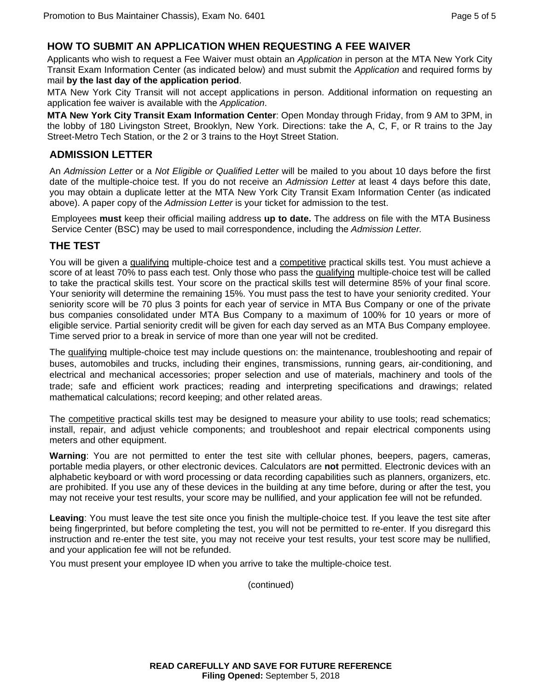## **HOW TO SUBMIT AN APPLICATION WHEN REQUESTING A FEE WAIVER**

Applicants who wish to request a Fee Waiver must obtain an *Application* in person at the MTA New York City Transit Exam Information Center (as indicated below) and must submit the *Application* and required forms by mail **by the last day of the application period**.

MTA New York City Transit will not accept applications in person. Additional information on requesting an application fee waiver is available with the *Application*.

**MTA New York City Transit Exam Information Center**: Open Monday through Friday, from 9 AM to 3PM, in the lobby of 180 Livingston Street, Brooklyn, New York. Directions: take the A, C, F, or R trains to the Jay Street-Metro Tech Station, or the 2 or 3 trains to the Hoyt Street Station.

## **ADMISSION LETTER**

An *Admission Letter* or a *Not Eligible or Qualified Letter* will be mailed to you about 10 days before the first date of the multiple-choice test. If you do not receive an *Admission Letter* at least 4 days before this date, you may obtain a duplicate letter at the MTA New York City Transit Exam Information Center (as indicated above). A paper copy of the *Admission Letter* is your ticket for admission to the test.

Employees **must** keep their official mailing address **up to date.** The address on file with the MTA Business Service Center (BSC) may be used to mail correspondence, including the *Admission Letter.*

## **THE TEST**

You will be given a qualifying multiple-choice test and a competitive practical skills test. You must achieve a score of at least 70% to pass each test. Only those who pass the qualifying multiple-choice test will be called to take the practical skills test. Your score on the practical skills test will determine 85% of your final score. Your seniority will determine the remaining 15%. You must pass the test to have your seniority credited. Your seniority score will be 70 plus 3 points for each year of service in MTA Bus Company or one of the private bus companies consolidated under MTA Bus Company to a maximum of 100% for 10 years or more of eligible service. Partial seniority credit will be given for each day served as an MTA Bus Company employee. Time served prior to a break in service of more than one year will not be credited.

The qualifying multiple-choice test may include questions on: the maintenance, troubleshooting and repair of buses, automobiles and trucks, including their engines, transmissions, running gears, air-conditioning, and electrical and mechanical accessories; proper selection and use of materials, machinery and tools of the trade; safe and efficient work practices; reading and interpreting specifications and drawings; related mathematical calculations; record keeping; and other related areas.

The competitive practical skills test may be designed to measure your ability to use tools; read schematics; install, repair, and adjust vehicle components; and troubleshoot and repair electrical components using meters and other equipment.

**Warning**: You are not permitted to enter the test site with cellular phones, beepers, pagers, cameras, portable media players, or other electronic devices. Calculators are **not** permitted. Electronic devices with an alphabetic keyboard or with word processing or data recording capabilities such as planners, organizers, etc. are prohibited. If you use any of these devices in the building at any time before, during or after the test, you may not receive your test results, your score may be nullified, and your application fee will not be refunded.

**Leaving**: You must leave the test site once you finish the multiple-choice test. If you leave the test site after being fingerprinted, but before completing the test, you will not be permitted to re-enter. If you disregard this instruction and re-enter the test site, you may not receive your test results, your test score may be nullified, and your application fee will not be refunded.

You must present your employee ID when you arrive to take the multiple-choice test.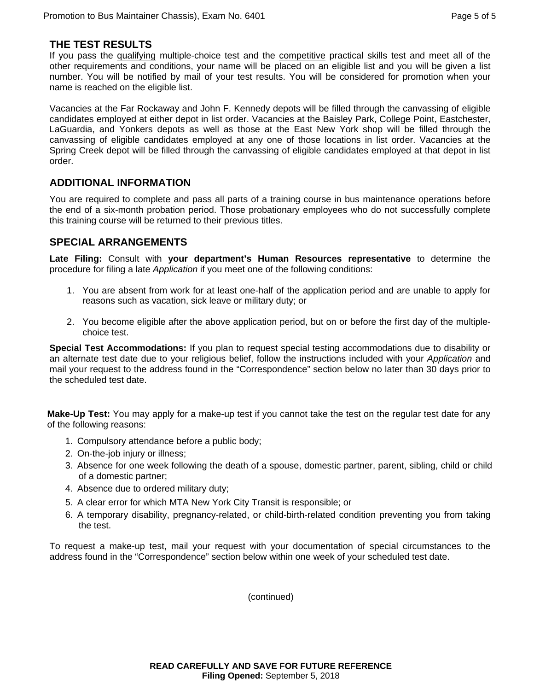## **THE TEST RESULTS**

If you pass the qualifying multiple-choice test and the competitive practical skills test and meet all of the other requirements and conditions, your name will be placed on an eligible list and you will be given a list number. You will be notified by mail of your test results. You will be considered for promotion when your name is reached on the eligible list.

Vacancies at the Far Rockaway and John F. Kennedy depots will be filled through the canvassing of eligible candidates employed at either depot in list order. Vacancies at the Baisley Park, College Point, Eastchester, LaGuardia, and Yonkers depots as well as those at the East New York shop will be filled through the canvassing of eligible candidates employed at any one of those locations in list order. Vacancies at the Spring Creek depot will be filled through the canvassing of eligible candidates employed at that depot in list order.

## **ADDITIONAL INFORMATION**

You are required to complete and pass all parts of a training course in bus maintenance operations before the end of a six-month probation period. Those probationary employees who do not successfully complete this training course will be returned to their previous titles.

## **SPECIAL ARRANGEMENTS**

**Late Filing:** Consult with **your department's Human Resources representative** to determine the procedure for filing a late *Application* if you meet one of the following conditions:

- 1. You are absent from work for at least one-half of the application period and are unable to apply for reasons such as vacation, sick leave or military duty; or
- 2. You become eligible after the above application period, but on or before the first day of the multiplechoice test.

**Special Test Accommodations:** If you plan to request special testing accommodations due to disability or an alternate test date due to your religious belief, follow the instructions included with your *Application* and mail your request to the address found in the "Correspondence" section below no later than 30 days prior to the scheduled test date.

**Make-Up Test:** You may apply for a make-up test if you cannot take the test on the regular test date for any of the following reasons:

- 1. Compulsory attendance before a public body;
- 2. On-the-job injury or illness;
- 3. Absence for one week following the death of a spouse, domestic partner, parent, sibling, child or child of a domestic partner;
- 4. Absence due to ordered military duty;
- 5. A clear error for which MTA New York City Transit is responsible; or
- 6. A temporary disability, pregnancy-related, or child-birth-related condition preventing you from taking the test.

To request a make-up test, mail your request with your documentation of special circumstances to the address found in the "Correspondence" section below within one week of your scheduled test date.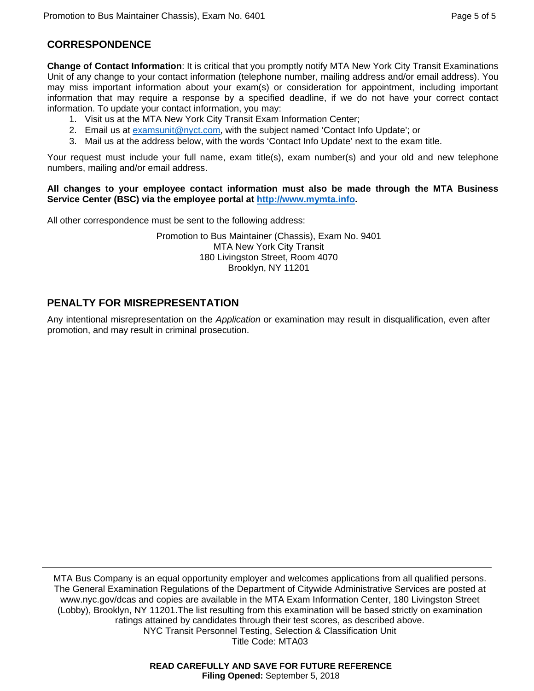# **CORRESPONDENCE**

**Change of Contact Information**: It is critical that you promptly notify MTA New York City Transit Examinations Unit of any change to your contact information (telephone number, mailing address and/or email address). You may miss important information about your exam(s) or consideration for appointment, including important information that may require a response by a specified deadline, if we do not have your correct contact information. To update your contact information, you may:

- 1. Visit us at the MTA New York City Transit Exam Information Center;
- 2. Email us at examsunit@nyct.com, with the subject named 'Contact Info Update'; or
- 3. Mail us at the address below, with the words 'Contact Info Update' next to the exam title.

Your request must include your full name, exam title(s), exam number(s) and your old and new telephone numbers, mailing and/or email address.

#### **All changes to your employee contact information must also be made through the MTA Business Service Center (BSC) via the employee portal at http://www.mymta.info.**

All other correspondence must be sent to the following address:

Promotion to Bus Maintainer (Chassis), Exam No. 9401 MTA New York City Transit 180 Livingston Street, Room 4070 Brooklyn, NY 11201

# **PENALTY FOR MISREPRESENTATION**

Any intentional misrepresentation on the *Application* or examination may result in disqualification, even after promotion, and may result in criminal prosecution.

MTA Bus Company is an equal opportunity employer and welcomes applications from all qualified persons. The General Examination Regulations of the Department of Citywide Administrative Services are posted at www.nyc.gov/dcas and copies are available in the MTA Exam Information Center, 180 Livingston Street (Lobby), Brooklyn, NY 11201.The list resulting from this examination will be based strictly on examination ratings attained by candidates through their test scores, as described above. NYC Transit Personnel Testing, Selection & Classification Unit Title Code: MTA03

> **READ CAREFULLY AND SAVE FOR FUTURE REFERENCE Filing Opened:** September 5, 2018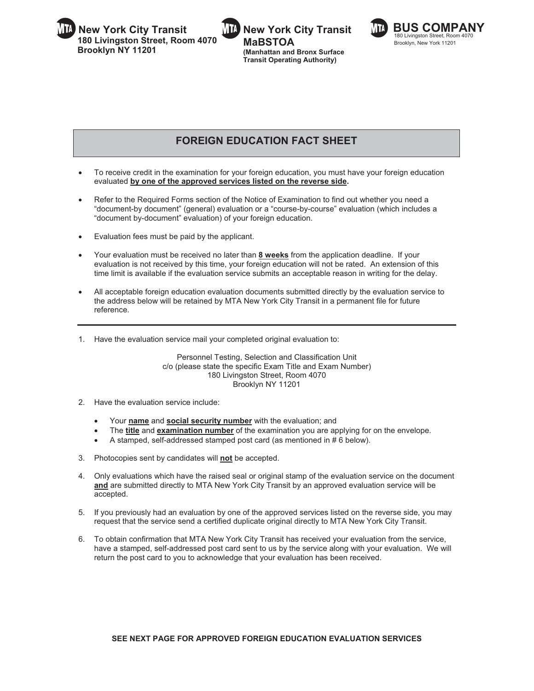**JIL New York City Transit 15 MHz New York City Transit 15 MHz BUS COMPANY 180 Livingston Street, Room 4070 Brooklyn NY 11201** 







Brooklyn, New York 11201

# **FOREIGN EDUCATION FACT SHEET**

- - To receive credit in the examination for your foreign education, you must have your foreign education evaluated **by one of the approved services listed on the reverse side.**
- - Refer to the Required Forms section of the Notice of Examination to find out whether you need a "document-by document" (general) evaluation or a "course-by-course" evaluation (which includes a "document by-document" evaluation) of your foreign education.
- -Evaluation fees must be paid by the applicant.
- - Your evaluation must be received no later than **8 weeks** from the application deadline. If your evaluation is not received by this time, your foreign education will not be rated. An extension of this time limit is available if the evaluation service submits an acceptable reason in writing for the delay.
- - All acceptable foreign education evaluation documents submitted directly by the evaluation service to the address below will be retained by MTA New York City Transit in a permanent file for future reference.
- 1. Have the evaluation service mail your completed original evaluation to:

Personnel Testing, Selection and Classification Unit c/o (please state the specific Exam Title and Exam Number) 180 Livingston Street, Room 4070 Brooklyn NY 11201

- 2. Have the evaluation service include:
	- $\bullet$ Your **name** and **social security number** with the evaluation; and
	- -The **title** and **examination number** of the examination you are applying for on the envelope.
	- -A stamped, self-addressed stamped post card (as mentioned in # 6 below).
- 3. Photocopies sent by candidates will **not** be accepted.
- 4. Only evaluations which have the raised seal or original stamp of the evaluation service on the document **and** are submitted directly to MTA New York City Transit by an approved evaluation service will be accepted.
- 5. If you previously had an evaluation by one of the approved services listed on the reverse side, you may request that the service send a certified duplicate original directly to MTA New York City Transit.
- 6. To obtain confirmation that MTA New York City Transit has received your evaluation from the service, have a stamped, self-addressed post card sent to us by the service along with your evaluation. We will return the post card to you to acknowledge that your evaluation has been received.